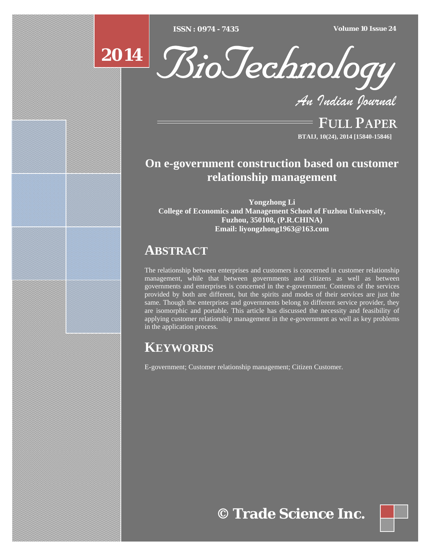[Type text] [Type text] [Type text] *ISSN : 0974 - 7435 Volume 10 Issue 24*



*An Indian Journal*

FULL PAPER **BTAIJ, 10(24), 2014 [15840-15846]**

# **On e-government construction based on customer relationship management**

**Yongzhong Li College of Economics and Management School of Fuzhou University, Fuzhou, 350108, (P.R.CHINA) Email: liyongzhong1963@163.com** 

# **ABSTRACT**

The relationship between enterprises and customers is concerned in customer relationship management, while that between governments and citizens as well as between governments and enterprises is concerned in the e-government. Contents of the services provided by both are different, but the spirits and modes of their services are just the same. Though the enterprises and governments belong to different service provider, they are isomorphic and portable. This article has discussed the necessity and feasibility of applying customer relationship management in the e-government as well as key problems in the application process.

# **KEYWORDS**

E-government; Customer relationship management; Citizen Customer.

**© Trade Science Inc.**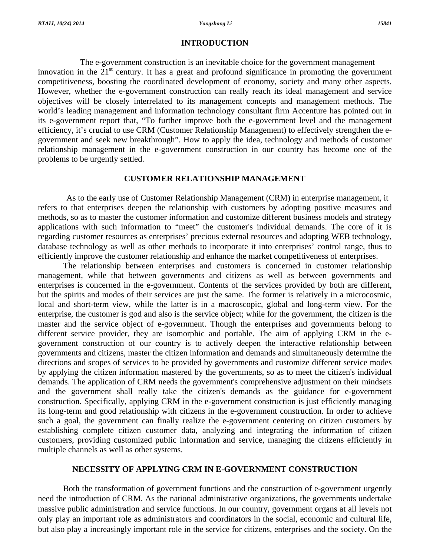## **INTRODUCTION**

The e-government construction is an inevitable choice for the government management innovation in the  $21<sup>st</sup>$  century. It has a great and profound significance in promoting the government competitiveness, boosting the coordinated development of economy, society and many other aspects. However, whether the e-government construction can really reach its ideal management and service objectives will be closely interrelated to its management concepts and management methods. The world's leading management and information technology consultant firm Accenture has pointed out in its e-government report that, "To further improve both the e-government level and the management efficiency, it's crucial to use CRM (Customer Relationship Management) to effectively strengthen the egovernment and seek new breakthrough". How to apply the idea, technology and methods of customer relationship management in the e-government construction in our country has become one of the problems to be urgently settled.

### **CUSTOMER RELATIONSHIP MANAGEMENT**

As to the early use of Customer Relationship Management (CRM) in enterprise management, it refers to that enterprises deepen the relationship with customers by adopting positive measures and methods, so as to master the customer information and customize different business models and strategy applications with such information to "meet" the customer's individual demands. The core of it is regarding customer resources as enterprises' precious external resources and adopting WEB technology, database technology as well as other methods to incorporate it into enterprises' control range, thus to efficiently improve the customer relationship and enhance the market competitiveness of enterprises.

The relationship between enterprises and customers is concerned in customer relationship management, while that between governments and citizens as well as between governments and enterprises is concerned in the e-government. Contents of the services provided by both are different, but the spirits and modes of their services are just the same. The former is relatively in a microcosmic, local and short-term view, while the latter is in a macroscopic, global and long-term view. For the enterprise, the customer is god and also is the service object; while for the government, the citizen is the master and the service object of e-government. Though the enterprises and governments belong to different service provider, they are isomorphic and portable. The aim of applying CRM in the egovernment construction of our country is to actively deepen the interactive relationship between governments and citizens, master the citizen information and demands and simultaneously determine the directions and scopes of services to be provided by governments and customize different service modes by applying the citizen information mastered by the governments, so as to meet the citizen's individual demands. The application of CRM needs the government's comprehensive adjustment on their mindsets and the government shall really take the citizen's demands as the guidance for e-government construction. Specifically, applying CRM in the e-government construction is just efficiently managing its long-term and good relationship with citizens in the e-government construction. In order to achieve such a goal, the government can finally realize the e-government centering on citizen customers by establishing complete citizen customer data, analyzing and integrating the information of citizen customers, providing customized public information and service, managing the citizens efficiently in multiple channels as well as other systems.

### **NECESSITY OF APPLYING CRM IN E-GOVERNMENT CONSTRUCTION**

Both the transformation of government functions and the construction of e-government urgently need the introduction of CRM. As the national administrative organizations, the governments undertake massive public administration and service functions. In our country, government organs at all levels not only play an important role as administrators and coordinators in the social, economic and cultural life, but also play a increasingly important role in the service for citizens, enterprises and the society. On the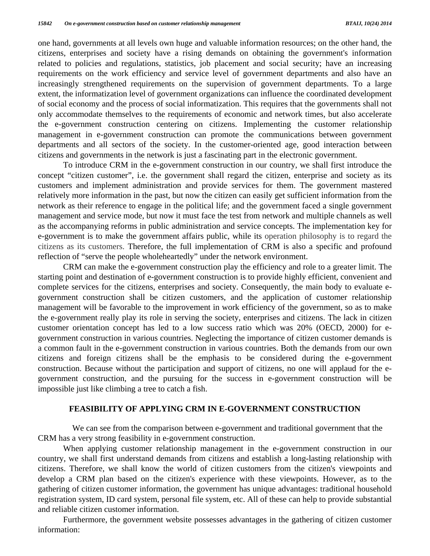one hand, governments at all levels own huge and valuable information resources; on the other hand, the citizens, enterprises and society have a rising demands on obtaining the government's information related to policies and regulations, statistics, job placement and social security; have an increasing requirements on the work efficiency and service level of government departments and also have an increasingly strengthened requirements on the supervision of government departments. To a large extent, the informatization level of government organizations can influence the coordinated development of social economy and the process of social informatization. This requires that the governments shall not only accommodate themselves to the requirements of economic and network times, but also accelerate the e-government construction centering on citizens. Implementing the customer relationship management in e-government construction can promote the communications between government departments and all sectors of the society. In the customer-oriented age, good interaction between citizens and governments in the network is just a fascinating part in the electronic government.

To introduce CRM in the e-government construction in our country, we shall first introduce the concept "citizen customer", i.e. the government shall regard the citizen, enterprise and society as its customers and implement administration and provide services for them. The government mastered relatively more information in the past, but now the citizen can easily get sufficient information from the network as their reference to engage in the political life; and the government faced a single government management and service mode, but now it must face the test from network and multiple channels as well as the accompanying reforms in public administration and service concepts. The implementation key for e-government is to make the government affairs public, while its operation philosophy is to regard the citizens as its customers. Therefore, the full implementation of CRM is also a specific and profound reflection of "serve the people wholeheartedly" under the network environment.

CRM can make the e-government construction play the efficiency and role to a greater limit. The starting point and destination of e-government construction is to provide highly efficient, convenient and complete services for the citizens, enterprises and society. Consequently, the main body to evaluate egovernment construction shall be citizen customers, and the application of customer relationship management will be favorable to the improvement in work efficiency of the government, so as to make the e-government really play its role in serving the society, enterprises and citizens. The lack in citizen customer orientation concept has led to a low success ratio which was 20% (OECD, 2000) for egovernment construction in various countries. Neglecting the importance of citizen customer demands is a common fault in the e-government construction in various countries. Both the demands from our own citizens and foreign citizens shall be the emphasis to be considered during the e-government construction. Because without the participation and support of citizens, no one will applaud for the egovernment construction, and the pursuing for the success in e-government construction will be impossible just like climbing a tree to catch a fish.

#### **FEASIBILITY OF APPLYING CRM IN E-GOVERNMENT CONSTRUCTION**

We can see from the comparison between e-government and traditional government that the CRM has a very strong feasibility in e-government construction.

When applying customer relationship management in the e-government construction in our country, we shall first understand demands from citizens and establish a long-lasting relationship with citizens. Therefore, we shall know the world of citizen customers from the citizen's viewpoints and develop a CRM plan based on the citizen's experience with these viewpoints. However, as to the gathering of citizen customer information, the government has unique advantages: traditional household registration system, ID card system, personal file system, etc. All of these can help to provide substantial and reliable citizen customer information.

Furthermore, the government website possesses advantages in the gathering of citizen customer information: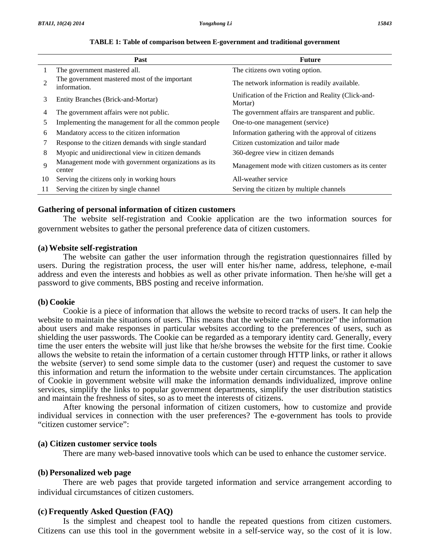|                | Past                                                           | <b>Future</b>                                                  |
|----------------|----------------------------------------------------------------|----------------------------------------------------------------|
| 1              | The government mastered all.                                   | The citizens own voting option.                                |
| $\overline{2}$ | The government mastered most of the important<br>information.  | The network information is readily available.                  |
| 3              | Entity Branches (Brick-and-Mortar)                             | Unification of the Friction and Reality (Click-and-<br>Mortar) |
| 4              | The government affairs were not public.                        | The government affairs are transparent and public.             |
| 5              | Implementing the management for all the common people          | One-to-one management (service)                                |
| 6              | Mandatory access to the citizen information                    | Information gathering with the approval of citizens            |
| 7              | Response to the citizen demands with single standard           | Citizen customization and tailor made                          |
| 8              | Myopic and unidirectional view in citizen demands              | 360-degree view in citizen demands                             |
| $\mathbf Q$    | Management mode with government organizations as its<br>center | Management mode with citizen customers as its center           |
| 10             | Serving the citizens only in working hours                     | All-weather service                                            |
| 11             | Serving the citizen by single channel                          | Serving the citizen by multiple channels                       |

#### **TABLE 1: Table of comparison between E-government and traditional government**

#### **Gathering of personal information of citizen customers**

 The website self-registration and Cookie application are the two information sources for government websites to gather the personal preference data of citizen customers.

#### **(a) Website self-registration**

 The website can gather the user information through the registration questionnaires filled by users. During the registration process, the user will enter his/her name, address, telephone, e-mail address and even the interests and hobbies as well as other private information. Then he/she will get a password to give comments, BBS posting and receive information.

#### **(b) Cookie**

 Cookie is a piece of information that allows the website to record tracks of users. It can help the website to maintain the situations of users. This means that the website can "memorize" the information about users and make responses in particular websites according to the preferences of users, such as shielding the user passwords. The Cookie can be regarded as a temporary identity card. Generally, every time the user enters the website will just like that he/she browses the website for the first time. Cookie allows the website to retain the information of a certain customer through HTTP links, or rather it allows the website (server) to send some simple data to the customer (user) and request the customer to save this information and return the information to the website under certain circumstances. The application of Cookie in government website will make the information demands individualized, improve online services, simplify the links to popular government departments, simplify the user distribution statistics and maintain the freshness of sites, so as to meet the interests of citizens.

After knowing the personal information of citizen customers, how to customize and provide individual services in connection with the user preferences? The e-government has tools to provide "citizen customer service":

## **(a) Citizen customer service tools**

There are many web-based innovative tools which can be used to enhance the customer service.

#### **(b) Personalized web page**

 There are web pages that provide targeted information and service arrangement according to individual circumstances of citizen customers.

#### **(c) Frequently Asked Question (FAQ)**

 Is the simplest and cheapest tool to handle the repeated questions from citizen customers. Citizens can use this tool in the government website in a self-service way, so the cost of it is low.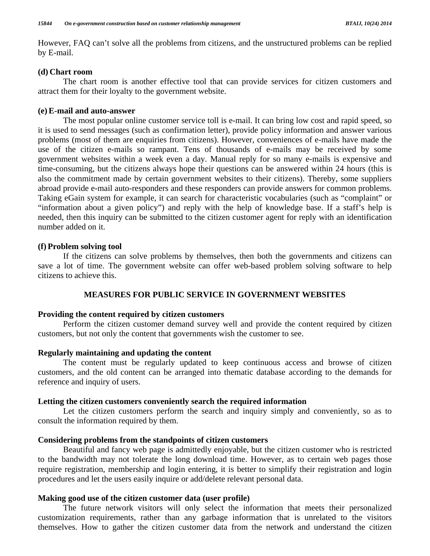However, FAQ can't solve all the problems from citizens, and the unstructured problems can be replied by E-mail.

#### **(d) Chart room**

 The chart room is another effective tool that can provide services for citizen customers and attract them for their loyalty to the government website.

#### **(e) E-mail and auto-answer**

 The most popular online customer service toll is e-mail. It can bring low cost and rapid speed, so it is used to send messages (such as confirmation letter), provide policy information and answer various problems (most of them are enquiries from citizens). However, conveniences of e-mails have made the use of the citizen e-mails so rampant. Tens of thousands of e-mails may be received by some government websites within a week even a day. Manual reply for so many e-mails is expensive and time-consuming, but the citizens always hope their questions can be answered within 24 hours (this is also the commitment made by certain government websites to their citizens). Thereby, some suppliers abroad provide e-mail auto-responders and these responders can provide answers for common problems. Taking eGain system for example, it can search for characteristic vocabularies (such as "complaint" or "information about a given policy") and reply with the help of knowledge base. If a staff's help is needed, then this inquiry can be submitted to the citizen customer agent for reply with an identification number added on it.

#### **(f) Problem solving tool**

 If the citizens can solve problems by themselves, then both the governments and citizens can save a lot of time. The government website can offer web-based problem solving software to help citizens to achieve this.

## **MEASURES FOR PUBLIC SERVICE IN GOVERNMENT WEBSITES**

#### **Providing the content required by citizen customers**

 Perform the citizen customer demand survey well and provide the content required by citizen customers, but not only the content that governments wish the customer to see.

#### **Regularly maintaining and updating the content**

 The content must be regularly updated to keep continuous access and browse of citizen customers, and the old content can be arranged into thematic database according to the demands for reference and inquiry of users.

## **Letting the citizen customers conveniently search the required information**

 Let the citizen customers perform the search and inquiry simply and conveniently, so as to consult the information required by them.

#### **Considering problems from the standpoints of citizen customers**

 Beautiful and fancy web page is admittedly enjoyable, but the citizen customer who is restricted to the bandwidth may not tolerate the long download time. However, as to certain web pages those require registration, membership and login entering, it is better to simplify their registration and login procedures and let the users easily inquire or add/delete relevant personal data.

#### **Making good use of the citizen customer data (user profile)**

 The future network visitors will only select the information that meets their personalized customization requirements, rather than any garbage information that is unrelated to the visitors themselves. How to gather the citizen customer data from the network and understand the citizen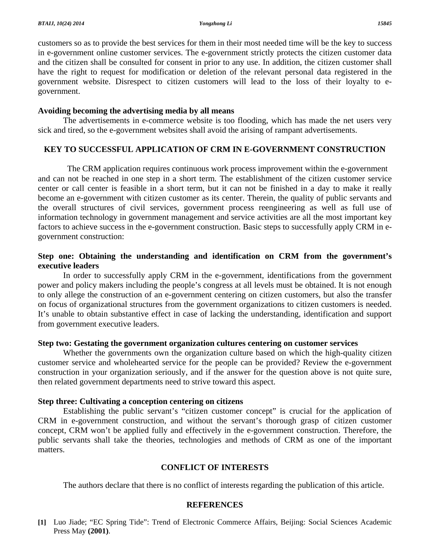customers so as to provide the best services for them in their most needed time will be the key to success in e-government online customer services. The e-government strictly protects the citizen customer data and the citizen shall be consulted for consent in prior to any use. In addition, the citizen customer shall have the right to request for modification or deletion of the relevant personal data registered in the government website. Disrespect to citizen customers will lead to the loss of their loyalty to egovernment.

## **Avoiding becoming the advertising media by all means**

 The advertisements in e-commerce website is too flooding, which has made the net users very sick and tired, so the e-government websites shall avoid the arising of rampant advertisements.

# **KEY TO SUCCESSFUL APPLICATION OF CRM IN E-GOVERNMENT CONSTRUCTION**

The CRM application requires continuous work process improvement within the e-government and can not be reached in one step in a short term. The establishment of the citizen customer service center or call center is feasible in a short term, but it can not be finished in a day to make it really become an e-government with citizen customer as its center. Therein, the quality of public servants and the overall structures of civil services, government process reengineering as well as full use of information technology in government management and service activities are all the most important key factors to achieve success in the e-government construction. Basic steps to successfully apply CRM in egovernment construction:

# **Step one: Obtaining the understanding and identification on CRM from the government's executive leaders**

 In order to successfully apply CRM in the e-government, identifications from the government power and policy makers including the people's congress at all levels must be obtained. It is not enough to only allege the construction of an e-government centering on citizen customers, but also the transfer on focus of organizational structures from the government organizations to citizen customers is needed. It's unable to obtain substantive effect in case of lacking the understanding, identification and support from government executive leaders.

# **Step two: Gestating the government organization cultures centering on customer services**

 Whether the governments own the organization culture based on which the high-quality citizen customer service and wholehearted service for the people can be provided? Review the e-government construction in your organization seriously, and if the answer for the question above is not quite sure, then related government departments need to strive toward this aspect.

# **Step three: Cultivating a conception centering on citizens**

 Establishing the public servant's "citizen customer concept" is crucial for the application of CRM in e-government construction, and without the servant's thorough grasp of citizen customer concept, CRM won't be applied fully and effectively in the e-government construction. Therefore, the public servants shall take the theories, technologies and methods of CRM as one of the important matters.

# **CONFLICT OF INTERESTS**

The authors declare that there is no conflict of interests regarding the publication of this article.

# **REFERENCES**

**[1]** Luo Jiade; "EC Spring Tide": Trend of Electronic Commerce Affairs, Beijing: Social Sciences Academic Press May **(2001)**.